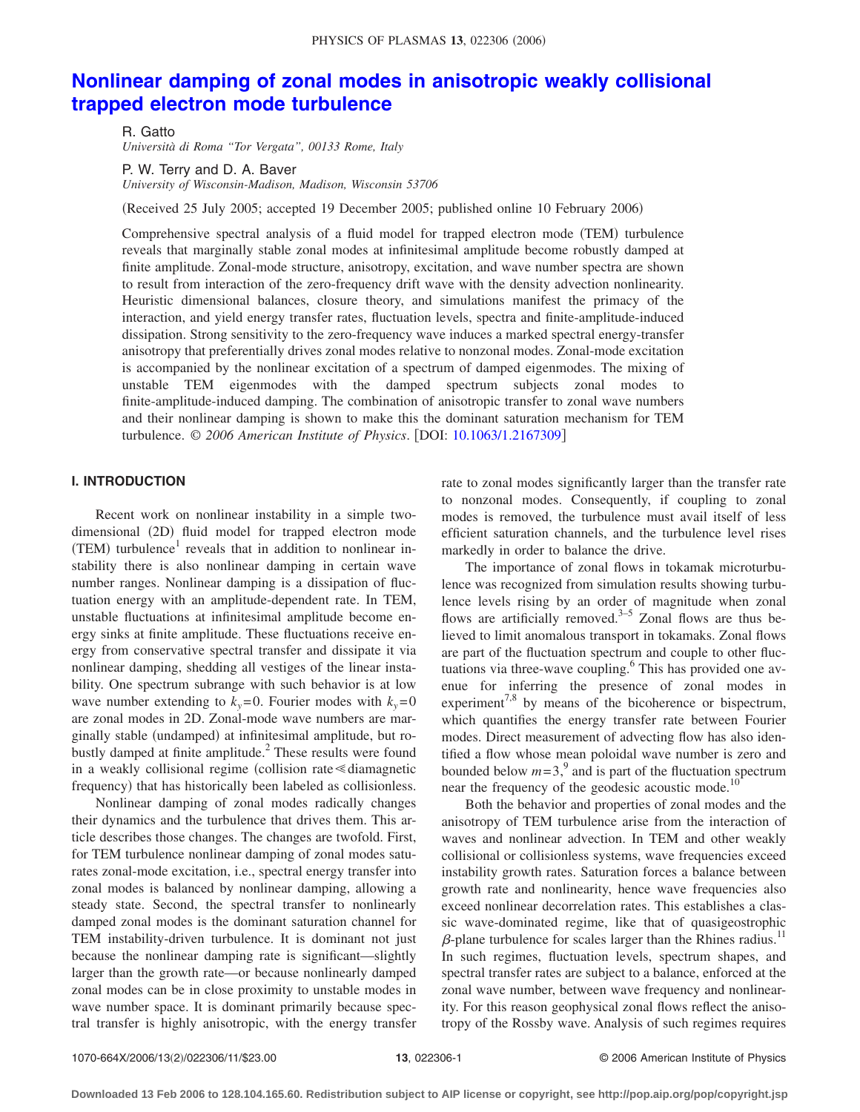# **[Nonlinear damping of zonal modes in anisotropic weakly collisional](http://dx.doi.org/10.1063/1.2167309) [trapped electron mode turbulence](http://dx.doi.org/10.1063/1.2167309)**

R. Gatto *Università di Roma "Tor Vergata", 00133 Rome, Italy*

P. W. Terry and D. A. Baver *University of Wisconsin-Madison, Madison, Wisconsin 53706*

(Received 25 July 2005; accepted 19 December 2005; published online 10 February 2006)

Comprehensive spectral analysis of a fluid model for trapped electron mode (TEM) turbulence reveals that marginally stable zonal modes at infinitesimal amplitude become robustly damped at finite amplitude. Zonal-mode structure, anisotropy, excitation, and wave number spectra are shown to result from interaction of the zero-frequency drift wave with the density advection nonlinearity. Heuristic dimensional balances, closure theory, and simulations manifest the primacy of the interaction, and yield energy transfer rates, fluctuation levels, spectra and finite-amplitude-induced dissipation. Strong sensitivity to the zero-frequency wave induces a marked spectral energy-transfer anisotropy that preferentially drives zonal modes relative to nonzonal modes. Zonal-mode excitation is accompanied by the nonlinear excitation of a spectrum of damped eigenmodes. The mixing of unstable TEM eigenmodes with the damped spectrum subjects zonal modes to finite-amplitude-induced damping. The combination of anisotropic transfer to zonal wave numbers and their nonlinear damping is shown to make this the dominant saturation mechanism for TEM turbulence. © *2006 American Institute of Physics*. DOI: [10.1063/1.2167309](http://dx.doi.org/10.1063/1.2167309)

## **I. INTRODUCTION**

Recent work on nonlinear instability in a simple twodimensional (2D) fluid model for trapped electron mode  $(TEM)$  turbulence<sup>1</sup> reveals that in addition to nonlinear instability there is also nonlinear damping in certain wave number ranges. Nonlinear damping is a dissipation of fluctuation energy with an amplitude-dependent rate. In TEM, unstable fluctuations at infinitesimal amplitude become energy sinks at finite amplitude. These fluctuations receive energy from conservative spectral transfer and dissipate it via nonlinear damping, shedding all vestiges of the linear instability. One spectrum subrange with such behavior is at low wave number extending to  $k_y=0$ . Fourier modes with  $k_y=0$ are zonal modes in 2D. Zonal-mode wave numbers are marginally stable (undamped) at infinitesimal amplitude, but robustly damped at finite amplitude. $<sup>2</sup>$  These results were found</sup> in a weakly collisional regime (collision rate  $\leq$  diamagnetic frequency) that has historically been labeled as collisionless.

Nonlinear damping of zonal modes radically changes their dynamics and the turbulence that drives them. This article describes those changes. The changes are twofold. First, for TEM turbulence nonlinear damping of zonal modes saturates zonal-mode excitation, i.e., spectral energy transfer into zonal modes is balanced by nonlinear damping, allowing a steady state. Second, the spectral transfer to nonlinearly damped zonal modes is the dominant saturation channel for TEM instability-driven turbulence. It is dominant not just because the nonlinear damping rate is significant—slightly larger than the growth rate—or because nonlinearly damped zonal modes can be in close proximity to unstable modes in wave number space. It is dominant primarily because spectral transfer is highly anisotropic, with the energy transfer

rate to zonal modes significantly larger than the transfer rate to nonzonal modes. Consequently, if coupling to zonal modes is removed, the turbulence must avail itself of less efficient saturation channels, and the turbulence level rises markedly in order to balance the drive.

The importance of zonal flows in tokamak microturbulence was recognized from simulation results showing turbulence levels rising by an order of magnitude when zonal flows are artificially removed.<sup>3–5</sup> Zonal flows are thus believed to limit anomalous transport in tokamaks. Zonal flows are part of the fluctuation spectrum and couple to other fluctuations via three-wave coupling.<sup>6</sup> This has provided one avenue for inferring the presence of zonal modes in experiment<sup>7,8</sup> by means of the bicoherence or bispectrum, which quantifies the energy transfer rate between Fourier modes. Direct measurement of advecting flow has also identified a flow whose mean poloidal wave number is zero and bounded below  $m=3$ , and is part of the fluctuation spectrum near the frequency of the geodesic acoustic mode.<sup>10</sup>

Both the behavior and properties of zonal modes and the anisotropy of TEM turbulence arise from the interaction of waves and nonlinear advection. In TEM and other weakly collisional or collisionless systems, wave frequencies exceed instability growth rates. Saturation forces a balance between growth rate and nonlinearity, hence wave frequencies also exceed nonlinear decorrelation rates. This establishes a classic wave-dominated regime, like that of quasigeostrophic  $\beta$ -plane turbulence for scales larger than the Rhines radius.<sup>11</sup> In such regimes, fluctuation levels, spectrum shapes, and spectral transfer rates are subject to a balance, enforced at the zonal wave number, between wave frequency and nonlinearity. For this reason geophysical zonal flows reflect the anisotropy of the Rossby wave. Analysis of such regimes requires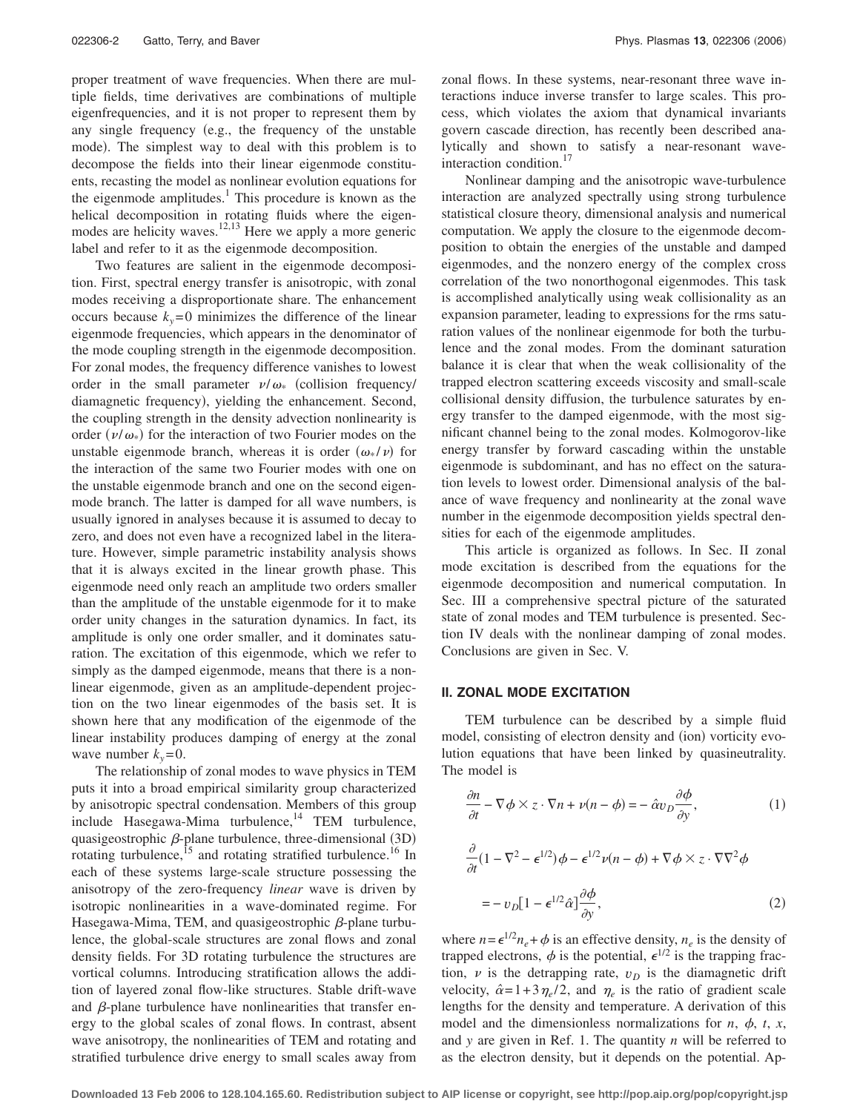proper treatment of wave frequencies. When there are multiple fields, time derivatives are combinations of multiple eigenfrequencies, and it is not proper to represent them by any single frequency (e.g., the frequency of the unstable mode). The simplest way to deal with this problem is to decompose the fields into their linear eigenmode constituents, recasting the model as nonlinear evolution equations for the eigenmode amplitudes.<sup>1</sup> This procedure is known as the helical decomposition in rotating fluids where the eigenmodes are helicity waves.<sup>12,13</sup> Here we apply a more generic label and refer to it as the eigenmode decomposition.

Two features are salient in the eigenmode decomposition. First, spectral energy transfer is anisotropic, with zonal modes receiving a disproportionate share. The enhancement occurs because  $k_y = 0$  minimizes the difference of the linear eigenmode frequencies, which appears in the denominator of the mode coupling strength in the eigenmode decomposition. For zonal modes, the frequency difference vanishes to lowest order in the small parameter  $\nu/\omega_*$  (collision frequency/ diamagnetic frequency), yielding the enhancement. Second, the coupling strength in the density advection nonlinearity is order ( $\nu/\omega_*$ ) for the interaction of two Fourier modes on the unstable eigenmode branch, whereas it is order  $(\omega_* / \nu)$  for the interaction of the same two Fourier modes with one on the unstable eigenmode branch and one on the second eigenmode branch. The latter is damped for all wave numbers, is usually ignored in analyses because it is assumed to decay to zero, and does not even have a recognized label in the literature. However, simple parametric instability analysis shows that it is always excited in the linear growth phase. This eigenmode need only reach an amplitude two orders smaller than the amplitude of the unstable eigenmode for it to make order unity changes in the saturation dynamics. In fact, its amplitude is only one order smaller, and it dominates saturation. The excitation of this eigenmode, which we refer to simply as the damped eigenmode, means that there is a nonlinear eigenmode, given as an amplitude-dependent projection on the two linear eigenmodes of the basis set. It is shown here that any modification of the eigenmode of the linear instability produces damping of energy at the zonal wave number  $k_y = 0$ .

The relationship of zonal modes to wave physics in TEM puts it into a broad empirical similarity group characterized by anisotropic spectral condensation. Members of this group  $include$  Hasegawa-Mima turbulence,<sup>14</sup> TEM turbulence, quasigeostrophic  $\beta$ -plane turbulence, three-dimensional (3D) rotating turbulence, $15$  and rotating stratified turbulence.<sup>16</sup> In each of these systems large-scale structure possessing the anisotropy of the zero-frequency *linear* wave is driven by isotropic nonlinearities in a wave-dominated regime. For Hasegawa-Mima, TEM, and quasigeostrophic  $\beta$ -plane turbulence, the global-scale structures are zonal flows and zonal density fields. For 3D rotating turbulence the structures are vortical columns. Introducing stratification allows the addition of layered zonal flow-like structures. Stable drift-wave and  $\beta$ -plane turbulence have nonlinearities that transfer energy to the global scales of zonal flows. In contrast, absent wave anisotropy, the nonlinearities of TEM and rotating and stratified turbulence drive energy to small scales away from zonal flows. In these systems, near-resonant three wave interactions induce inverse transfer to large scales. This process, which violates the axiom that dynamical invariants govern cascade direction, has recently been described analytically and shown to satisfy a near-resonant waveinteraction condition.<sup>17</sup>

Nonlinear damping and the anisotropic wave-turbulence interaction are analyzed spectrally using strong turbulence statistical closure theory, dimensional analysis and numerical computation. We apply the closure to the eigenmode decomposition to obtain the energies of the unstable and damped eigenmodes, and the nonzero energy of the complex cross correlation of the two nonorthogonal eigenmodes. This task is accomplished analytically using weak collisionality as an expansion parameter, leading to expressions for the rms saturation values of the nonlinear eigenmode for both the turbulence and the zonal modes. From the dominant saturation balance it is clear that when the weak collisionality of the trapped electron scattering exceeds viscosity and small-scale collisional density diffusion, the turbulence saturates by energy transfer to the damped eigenmode, with the most significant channel being to the zonal modes. Kolmogorov-like energy transfer by forward cascading within the unstable eigenmode is subdominant, and has no effect on the saturation levels to lowest order. Dimensional analysis of the balance of wave frequency and nonlinearity at the zonal wave number in the eigenmode decomposition yields spectral densities for each of the eigenmode amplitudes.

This article is organized as follows. In Sec. II zonal mode excitation is described from the equations for the eigenmode decomposition and numerical computation. In Sec. III a comprehensive spectral picture of the saturated state of zonal modes and TEM turbulence is presented. Section IV deals with the nonlinear damping of zonal modes. Conclusions are given in Sec. V.

### **II. ZONAL MODE EXCITATION**

TEM turbulence can be described by a simple fluid model, consisting of electron density and (ion) vorticity evolution equations that have been linked by quasineutrality. The model is

$$
\frac{\partial n}{\partial t} - \nabla \phi \times z \cdot \nabla n + \nu (n - \phi) = - \hat{\alpha} v_D \frac{\partial \phi}{\partial y},\tag{1}
$$

$$
\frac{\partial}{\partial t} (1 - \nabla^2 - \epsilon^{1/2}) \phi - \epsilon^{1/2} \nu (n - \phi) + \nabla \phi \times z \cdot \nabla \nabla^2 \phi
$$
  
= 
$$
- v_D [1 - \epsilon^{1/2} \hat{\alpha}] \frac{\partial \phi}{\partial y},
$$
 (2)

where  $n = \epsilon^{1/2} n_e + \phi$  is an effective density,  $n_e$  is the density of trapped electrons,  $\phi$  is the potential,  $\epsilon^{1/2}$  is the trapping fraction,  $\nu$  is the detrapping rate,  $\nu_D$  is the diamagnetic drift velocity,  $\hat{\alpha} = 1 + 3 \eta_e / 2$ , and  $\eta_e$  is the ratio of gradient scale lengths for the density and temperature. A derivation of this model and the dimensionless normalizations for  $n$ ,  $\phi$ ,  $t$ ,  $x$ , and *y* are given in Ref. 1. The quantity *n* will be referred to as the electron density, but it depends on the potential. Ap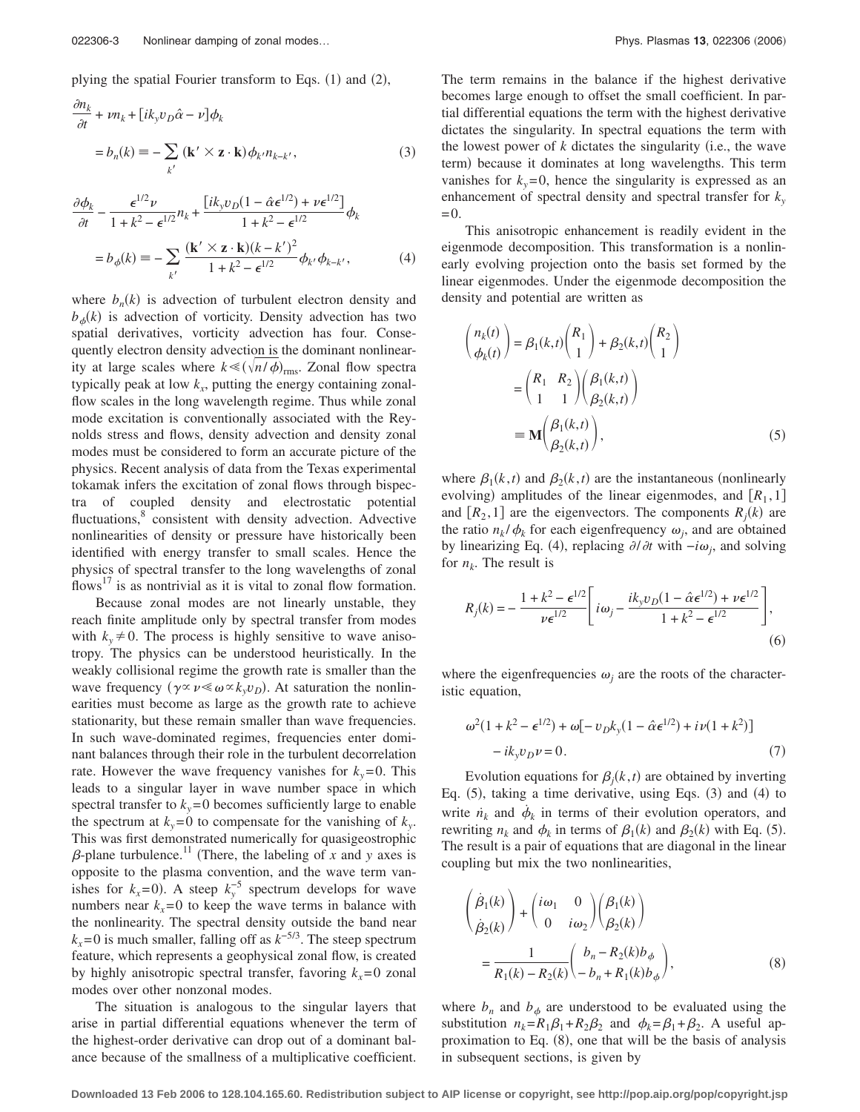plying the spatial Fourier transform to Eqs. (1) and (2),

$$
\frac{\partial n_k}{\partial t} + \nu n_k + [ik_y v_D \hat{\alpha} - \nu] \phi_k
$$
  
=  $b_n(k) = -\sum_{k'} (\mathbf{k'} \times \mathbf{z} \cdot \mathbf{k}) \phi_{k'} n_{k-k'},$  (3)

$$
\frac{\partial \phi_k}{\partial t} - \frac{\epsilon^{1/2} \nu}{1 + k^2 - \epsilon^{1/2}} n_k + \frac{\left[i k_y v_D (1 - \hat{\alpha} \epsilon^{1/2}) + \nu \epsilon^{1/2} \right]}{1 + k^2 - \epsilon^{1/2}} \phi_k
$$

$$
= b_\phi(k) \equiv -\sum_{k'} \frac{(\mathbf{k'} \times \mathbf{z} \cdot \mathbf{k})(k - k')^2}{1 + k^2 - \epsilon^{1/2}} \phi_{k'} \phi_{k - k'}, \tag{4}
$$

where  $b_n(k)$  is advection of turbulent electron density and  $b_{\phi}(k)$  is advection of vorticity. Density advection has two spatial derivatives, vorticity advection has four. Consequently electron density advection is the dominant nonlinearity at large scales where  $k \leq (\sqrt{n/\phi})_{\text{rms}}$ . Zonal flow spectra typically peak at low  $k_x$ , putting the energy containing zonalflow scales in the long wavelength regime. Thus while zonal mode excitation is conventionally associated with the Reynolds stress and flows, density advection and density zonal modes must be considered to form an accurate picture of the physics. Recent analysis of data from the Texas experimental tokamak infers the excitation of zonal flows through bispectra of coupled density and electrostatic potential fluctuations,<sup>8</sup> consistent with density advection. Advective nonlinearities of density or pressure have historically been identified with energy transfer to small scales. Hence the physics of spectral transfer to the long wavelengths of zonal flows<sup>17</sup> is as nontrivial as it is vital to zonal flow formation.

Because zonal modes are not linearly unstable, they reach finite amplitude only by spectral transfer from modes with  $k_y \neq 0$ . The process is highly sensitive to wave anisotropy. The physics can be understood heuristically. In the weakly collisional regime the growth rate is smaller than the wave frequency  $(\gamma \propto \nu \ll \omega \propto k_y v_D)$ . At saturation the nonlinearities must become as large as the growth rate to achieve stationarity, but these remain smaller than wave frequencies. In such wave-dominated regimes, frequencies enter dominant balances through their role in the turbulent decorrelation rate. However the wave frequency vanishes for  $k_y = 0$ . This leads to a singular layer in wave number space in which spectral transfer to  $k_y = 0$  becomes sufficiently large to enable the spectrum at  $k_y=0$  to compensate for the vanishing of  $k_y$ . This was first demonstrated numerically for quasigeostrophic  $\beta$ -plane turbulence.<sup>11</sup> (There, the labeling of *x* and *y* axes is opposite to the plasma convention, and the wave term vanishes for  $k_x=0$ ). A steep  $k_y^{-5}$  spectrum develops for wave numbers near  $k<sub>x</sub> = 0$  to keep the wave terms in balance with the nonlinearity. The spectral density outside the band near  $k_x$ =0 is much smaller, falling off as  $k^{-5/3}$ . The steep spectrum feature, which represents a geophysical zonal flow, is created by highly anisotropic spectral transfer, favoring  $k_x=0$  zonal modes over other nonzonal modes.

The situation is analogous to the singular layers that arise in partial differential equations whenever the term of the highest-order derivative can drop out of a dominant balance because of the smallness of a multiplicative coefficient.

The term remains in the balance if the highest derivative becomes large enough to offset the small coefficient. In partial differential equations the term with the highest derivative dictates the singularity. In spectral equations the term with the lowest power of  $k$  dictates the singularity (i.e., the wave term) because it dominates at long wavelengths. This term vanishes for  $k_y=0$ , hence the singularity is expressed as an enhancement of spectral density and spectral transfer for  $k_y$  $=0.$ 

This anisotropic enhancement is readily evident in the eigenmode decomposition. This transformation is a nonlinearly evolving projection onto the basis set formed by the linear eigenmodes. Under the eigenmode decomposition the density and potential are written as

$$
\begin{aligned}\n\binom{n_k(t)}{\phi_k(t)} &= \beta_1(k,t) \binom{R_1}{1} + \beta_2(k,t) \binom{R_2}{1} \\
&= \binom{R_1 \quad R_2}{1 \quad 1} \binom{\beta_1(k,t)}{\beta_2(k,t)} \\
&= \mathbf{M} \binom{\beta_1(k,t)}{\beta_2(k,t)},\n\end{aligned} \tag{5}
$$

where  $\beta_1(k,t)$  and  $\beta_2(k,t)$  are the instantaneous (nonlinearly evolving) amplitudes of the linear eigenmodes, and  $[R_1, 1]$ and  $[R_2, 1]$  are the eigenvectors. The components  $R_j(k)$  are the ratio  $n_k / \phi_k$  for each eigenfrequency  $\omega_i$ , and are obtained by linearizing Eq. (4), replacing  $\partial/\partial t$  with  $-i\omega_j$ , and solving for  $n_k$ . The result is

$$
R_j(k) = -\frac{1 + k^2 - \epsilon^{1/2}}{\nu \epsilon^{1/2}} \left[ i\omega_j - \frac{ik_y v_D (1 - \hat{\alpha} \epsilon^{1/2}) + \nu \epsilon^{1/2}}{1 + k^2 - \epsilon^{1/2}} \right],
$$
\n(6)

where the eigenfrequencies  $\omega_i$  are the roots of the characteristic equation,

$$
\omega^{2}(1 + k^{2} - \epsilon^{1/2}) + \omega[-v_{D}k_{y}(1 - \hat{\alpha}\epsilon^{1/2}) + i\nu(1 + k^{2})] - ik_{y}v_{D}\nu = 0.
$$
 (7)

Evolution equations for  $\beta_j(k,t)$  are obtained by inverting Eq. (5), taking a time derivative, using Eqs. (3) and (4) to write  $\dot{n}_k$  and  $\dot{\phi}_k$  in terms of their evolution operators, and rewriting  $n_k$  and  $\phi_k$  in terms of  $\beta_1(k)$  and  $\beta_2(k)$  with Eq. (5). The result is a pair of equations that are diagonal in the linear coupling but mix the two nonlinearities,

$$
\left(\begin{array}{c}\n\dot{\beta}_{1}(k) \\
\dot{\beta}_{2}(k)\n\end{array}\right) + \left(\begin{array}{cc}\n\dot{\omega}_{1} & 0 \\
0 & i\omega_{2}\n\end{array}\right) \left(\begin{array}{c}\n\beta_{1}(k) \\
\beta_{2}(k)\n\end{array}\right) \\
= \frac{1}{R_{1}(k) - R_{2}(k)} \left(\begin{array}{c}\nb_{n} - R_{2}(k)b_{\phi} \\
-b_{n} + R_{1}(k)b_{\phi}\n\end{array}\right),
$$
\n(8)

where  $b_n$  and  $b_\phi$  are understood to be evaluated using the substitution  $n_k = R_1 \beta_1 + R_2 \beta_2$  and  $\phi_k = \beta_1 + \beta_2$ . A useful approximation to Eq. (8), one that will be the basis of analysis in subsequent sections, is given by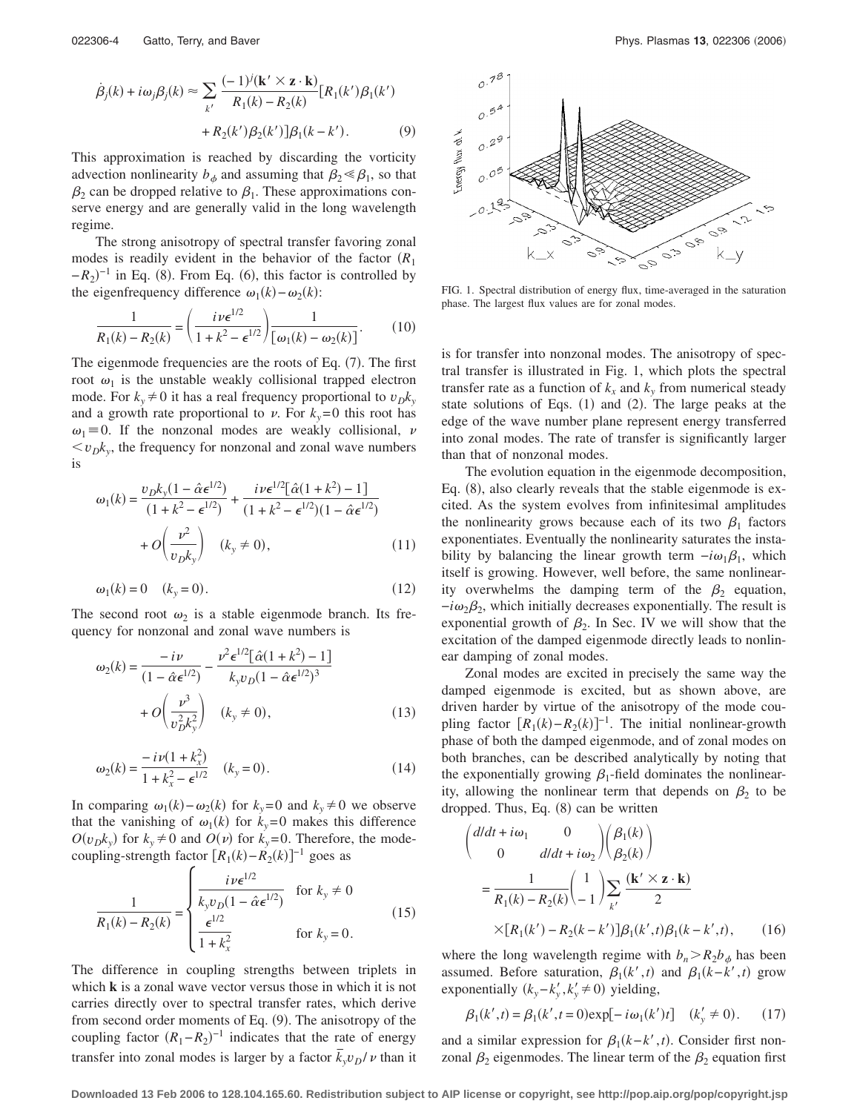$$
\dot{\beta}_j(k) + i\omega_j \beta_j(k) \approx \sum_{k'} \frac{(-1)^j (\mathbf{k'} \times \mathbf{z} \cdot \mathbf{k})}{R_1(k) - R_2(k)} [R_1(k')\beta_1(k') + R_2(k')\beta_2(k')] \beta_1(k - k'). \tag{9}
$$

This approximation is reached by discarding the vorticity advection nonlinearity  $b_{\phi}$  and assuming that  $\beta_2 \le \beta_1$ , so that  $\beta_2$  can be dropped relative to  $\beta_1$ . These approximations conserve energy and are generally valid in the long wavelength regime.

The strong anisotropy of spectral transfer favoring zonal modes is readily evident in the behavior of the factor *R*<sup>1</sup>  $-R_2$ <sup>-1</sup> in Eq. (8). From Eq. (6), this factor is controlled by the eigenfrequency difference  $\omega_1(k) - \omega_2(k)$ :

$$
\frac{1}{R_1(k) - R_2(k)} = \left(\frac{i\nu \epsilon^{1/2}}{1 + k^2 - \epsilon^{1/2}}\right) \frac{1}{[\omega_1(k) - \omega_2(k)]}.
$$
(10)

The eigenmode frequencies are the roots of Eq. (7). The first root  $\omega_1$  is the unstable weakly collisional trapped electron mode. For  $k_v \neq 0$  it has a real frequency proportional to  $v_D k_v$ and a growth rate proportional to  $\nu$ . For  $k_y=0$  this root has  $\omega_1 = 0$ . If the nonzonal modes are weakly collisional, v  $\langle v_{D}k_{v} \rangle$ , the frequency for nonzonal and zonal wave numbers is

$$
\omega_1(k) = \frac{v_D k_y (1 - \hat{\alpha} \epsilon^{1/2})}{(1 + k^2 - \epsilon^{1/2})} + \frac{i \nu \epsilon^{1/2} [\hat{\alpha} (1 + k^2) - 1]}{(1 + k^2 - \epsilon^{1/2}) (1 - \hat{\alpha} \epsilon^{1/2})} + O\left(\frac{\nu^2}{v_D k_y}\right) \quad (k_y \neq 0),
$$
\n(11)

$$
\omega_1(k) = 0 \quad (k_y = 0). \tag{12}
$$

The second root  $\omega_2$  is a stable eigenmode branch. Its frequency for nonzonal and zonal wave numbers is

$$
\omega_2(k) = \frac{-i\nu}{(1 - \hat{\alpha}\epsilon^{1/2})} - \frac{\nu^2 \epsilon^{1/2} [\hat{\alpha}(1 + k^2) - 1]}{k_y v_D (1 - \hat{\alpha}\epsilon^{1/2})^3} + O\left(\frac{\nu^3}{v_D^2 k_y^2}\right) \quad (k_y \neq 0),
$$
\n(13)

$$
\omega_2(k) = \frac{-i\nu(1 + k_x^2)}{1 + k_x^2 - \epsilon^{1/2}} \quad (k_y = 0).
$$
 (14)

In comparing  $\omega_1(k) - \omega_2(k)$  for  $k_y = 0$  and  $k_y \neq 0$  we observe that the vanishing of  $\omega_1(k)$  for  $k_y=0$  makes this difference  $O(v_{D}k_{y})$  for  $k_{y} \neq 0$  and  $O(v)$  for  $k_{y}=0$ . Therefore, the modecoupling-strength factor  $[R_1(k) - R_2(k)]^{-1}$  goes as

$$
\frac{1}{R_1(k) - R_2(k)} = \begin{cases} \frac{i\nu \epsilon^{1/2}}{k_y v_D (1 - \hat{\alpha} \epsilon^{1/2})} & \text{for } k_y \neq 0\\ \frac{\epsilon^{1/2}}{1 + k_x^2} & \text{for } k_y = 0. \end{cases}
$$
(15)

The difference in coupling strengths between triplets in which **k** is a zonal wave vector versus those in which it is not carries directly over to spectral transfer rates, which derive from second order moments of Eq. (9). The anisotropy of the coupling factor  $(R_1 - R_2)^{-1}$  indicates that the rate of energy transfer into zonal modes is larger by a factor  $\bar{k}_y v_D / v$  than it



FIG. 1. Spectral distribution of energy flux, time-averaged in the saturation phase. The largest flux values are for zonal modes.

is for transfer into nonzonal modes. The anisotropy of spectral transfer is illustrated in Fig. 1, which plots the spectral transfer rate as a function of  $k_x$  and  $k_y$  from numerical steady state solutions of Eqs.  $(1)$  and  $(2)$ . The large peaks at the edge of the wave number plane represent energy transferred into zonal modes. The rate of transfer is significantly larger than that of nonzonal modes.

The evolution equation in the eigenmode decomposition, Eq. (8), also clearly reveals that the stable eigenmode is excited. As the system evolves from infinitesimal amplitudes the nonlinearity grows because each of its two  $\beta_1$  factors exponentiates. Eventually the nonlinearity saturates the instability by balancing the linear growth term  $-i\omega_1\beta_1$ , which itself is growing. However, well before, the same nonlinearity overwhelms the damping term of the  $\beta_2$  equation,  $-i\omega_2\beta_2$ , which initially decreases exponentially. The result is exponential growth of  $\beta_2$ . In Sec. IV we will show that the excitation of the damped eigenmode directly leads to nonlinear damping of zonal modes.

Zonal modes are excited in precisely the same way the damped eigenmode is excited, but as shown above, are driven harder by virtue of the anisotropy of the mode coupling factor  $[R_1(k) - R_2(k)]^{-1}$ . The initial nonlinear-growth phase of both the damped eigenmode, and of zonal modes on both branches, can be described analytically by noting that the exponentially growing  $\beta_1$ -field dominates the nonlinearity, allowing the nonlinear term that depends on  $\beta_2$  to be dropped. Thus, Eq. (8) can be written

$$
\begin{aligned}\n\left(\frac{d/dt + i\omega_1}{0} \frac{0}{d/dt + i\omega_2}\right) & \left(\frac{\beta_1(k)}{\beta_2(k)}\right) \\
&= \frac{1}{R_1(k) - R_2(k)} \left(\frac{1}{-1}\right) \sum_{k'} \frac{(\mathbf{k'} \times \mathbf{z} \cdot \mathbf{k})}{2} \\
&\times [R_1(k') - R_2(k - k')] \beta_1(k', t) \beta_1(k - k', t),\n\end{aligned} \tag{16}
$$

where the long wavelength regime with  $b_n > R_2 b_\phi$  has been assumed. Before saturation,  $\beta_1(k',t)$  and  $\beta_1(k-k',t)$  grow exponentially  $(k_y - k'_y, k'_y \neq 0)$  yielding,

$$
\beta_1(k',t) = \beta_1(k',t=0) \exp[-i\omega_1(k')t] \quad (k'_y \neq 0). \tag{17}
$$

and a similar expression for  $\beta_1(k-k',t)$ . Consider first nonzonal  $\beta_2$  eigenmodes. The linear term of the  $\beta_2$  equation first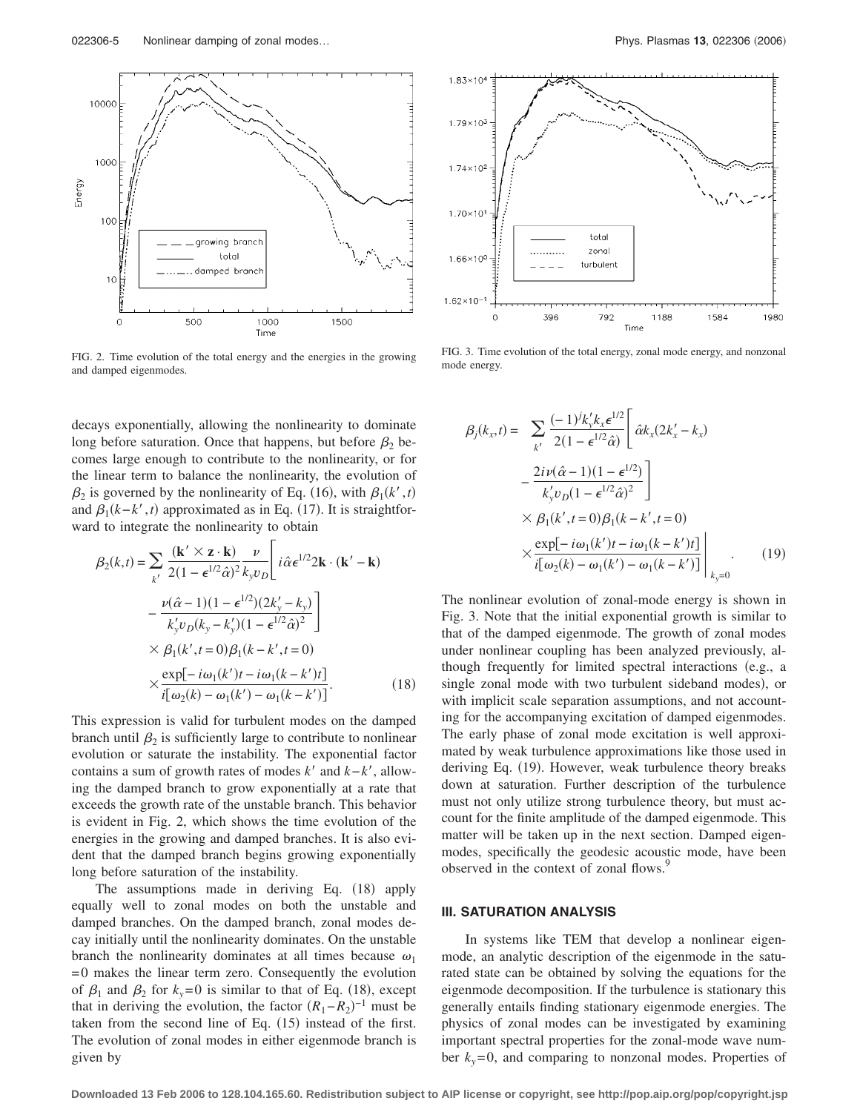

FIG. 2. Time evolution of the total energy and the energies in the growing and damped eigenmodes.

decays exponentially, allowing the nonlinearity to dominate long before saturation. Once that happens, but before  $\beta_2$  becomes large enough to contribute to the nonlinearity, or for the linear term to balance the nonlinearity, the evolution of  $\beta_2$  is governed by the nonlinearity of Eq. (16), with  $\beta_1(k',t)$ and  $\beta_1(k-k',t)$  approximated as in Eq. (17). It is straightforward to integrate the nonlinearity to obtain

$$
\beta_2(k,t) = \sum_{k'} \frac{(\mathbf{k'} \times \mathbf{z} \cdot \mathbf{k})}{2(1 - \epsilon^{1/2} \hat{\alpha})^2} \frac{\nu}{k_y v_D} \left[ i \hat{\alpha} \epsilon^{1/2} 2\mathbf{k} \cdot (\mathbf{k'} - \mathbf{k}) \right. \left. - \frac{\nu (\hat{\alpha} - 1)(1 - \epsilon^{1/2})(2k'_y - k_y)}{k'_y v_D(k_y - k'_y)(1 - \epsilon^{1/2} \hat{\alpha})^2} \right] \times \beta_1(k', t = 0) \beta_1(k - k', t = 0) \times \frac{\exp[-i\omega_1(k')t - i\omega_1(k - k')t]}{i[\omega_2(k) - \omega_1(k') - \omega_1(k - k')]}. \tag{18}
$$

This expression is valid for turbulent modes on the damped branch until  $\beta_2$  is sufficiently large to contribute to nonlinear evolution or saturate the instability. The exponential factor contains a sum of growth rates of modes  $k'$  and  $k-k'$ , allowing the damped branch to grow exponentially at a rate that exceeds the growth rate of the unstable branch. This behavior is evident in Fig. 2, which shows the time evolution of the energies in the growing and damped branches. It is also evident that the damped branch begins growing exponentially long before saturation of the instability.

The assumptions made in deriving Eq. (18) apply equally well to zonal modes on both the unstable and damped branches. On the damped branch, zonal modes decay initially until the nonlinearity dominates. On the unstable branch the nonlinearity dominates at all times because  $\omega_1$ = 0 makes the linear term zero. Consequently the evolution of  $\beta_1$  and  $\beta_2$  for  $k_y=0$  is similar to that of Eq. (18), except that in deriving the evolution, the factor  $(R_1 - R_2)^{-1}$  must be taken from the second line of Eq.  $(15)$  instead of the first. The evolution of zonal modes in either eigenmode branch is given by



FIG. 3. Time evolution of the total energy, zonal mode energy, and nonzonal mode energy.

$$
\beta_j(k_x, t) = \sum_{k'} \frac{(-1)^j k_y' k_x \epsilon^{1/2}}{2(1 - \epsilon^{1/2} \hat{\alpha})} \left[ \hat{\alpha} k_x (2k_x' - k_x) - \frac{2i \nu (\hat{\alpha} - 1)(1 - \epsilon^{1/2})}{k_y' v_D (1 - \epsilon^{1/2} \hat{\alpha})^2} \right] \times \beta_1(k', t = 0) \beta_1(k - k', t = 0) \times \frac{\exp[-i\omega_1(k')t - i\omega_1(k - k')t]}{i[\omega_2(k) - \omega_1(k') - \omega_1(k - k')]}\Big|_{k_y = 0} . \tag{19}
$$

The nonlinear evolution of zonal-mode energy is shown in Fig. 3. Note that the initial exponential growth is similar to that of the damped eigenmode. The growth of zonal modes under nonlinear coupling has been analyzed previously, although frequently for limited spectral interactions (e.g., a single zonal mode with two turbulent sideband modes), or with implicit scale separation assumptions, and not accounting for the accompanying excitation of damped eigenmodes. The early phase of zonal mode excitation is well approximated by weak turbulence approximations like those used in deriving Eq. (19). However, weak turbulence theory breaks down at saturation. Further description of the turbulence must not only utilize strong turbulence theory, but must account for the finite amplitude of the damped eigenmode. This matter will be taken up in the next section. Damped eigenmodes, specifically the geodesic acoustic mode, have been observed in the context of zonal flows.<sup>9</sup>

#### **III. SATURATION ANALYSIS**

In systems like TEM that develop a nonlinear eigenmode, an analytic description of the eigenmode in the saturated state can be obtained by solving the equations for the eigenmode decomposition. If the turbulence is stationary this generally entails finding stationary eigenmode energies. The physics of zonal modes can be investigated by examining important spectral properties for the zonal-mode wave number  $k_y = 0$ , and comparing to nonzonal modes. Properties of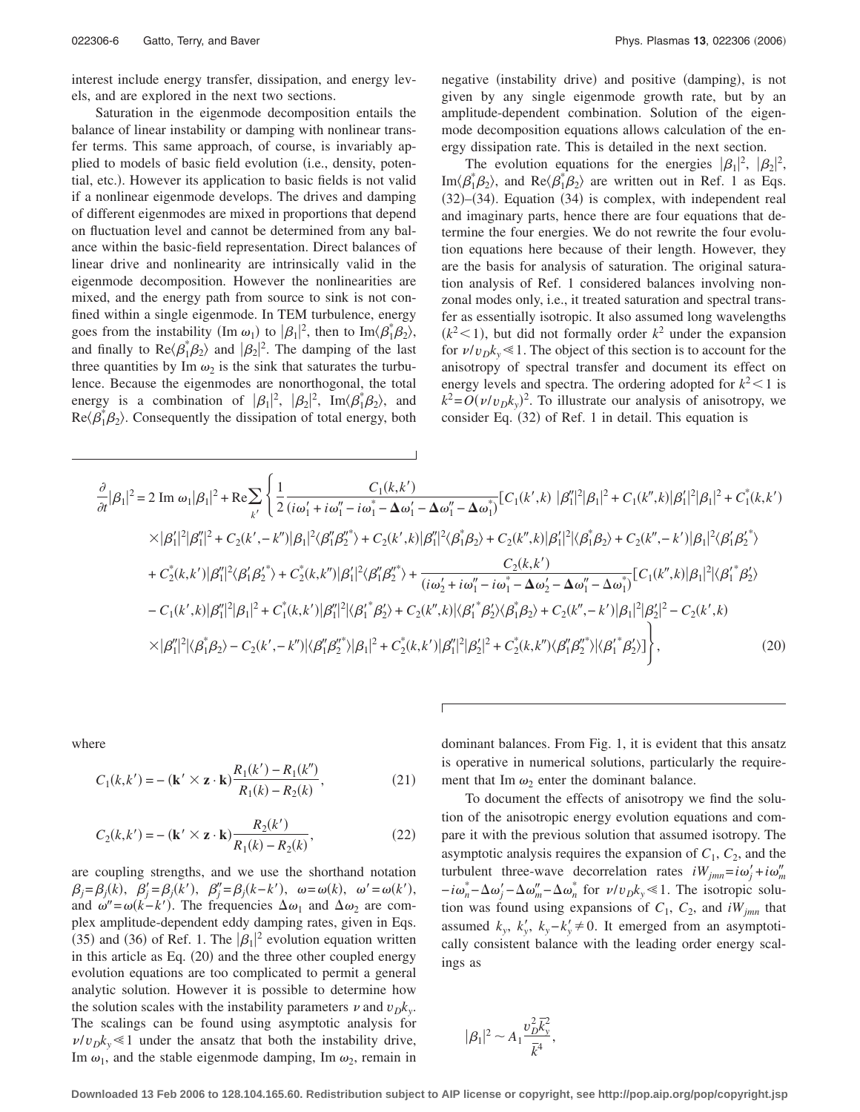interest include energy transfer, dissipation, and energy levels, and are explored in the next two sections.

Saturation in the eigenmode decomposition entails the balance of linear instability or damping with nonlinear transfer terms. This same approach, of course, is invariably applied to models of basic field evolution (i.e., density, potential, etc.). However its application to basic fields is not valid if a nonlinear eigenmode develops. The drives and damping of different eigenmodes are mixed in proportions that depend on fluctuation level and cannot be determined from any balance within the basic-field representation. Direct balances of linear drive and nonlinearity are intrinsically valid in the eigenmode decomposition. However the nonlinearities are mixed, and the energy path from source to sink is not confined within a single eigenmode. In TEM turbulence, energy goes from the instability (Im  $\omega_1$ ) to  $|\beta_1|^2$ , then to Im $\langle \beta_1^* \beta_2 \rangle$ , and finally to  $\text{Re}\langle\beta_1^*\beta_2\rangle$  and  $|\beta_2|^2$ . The damping of the last three quantities by Im  $\omega_2$  is the sink that saturates the turbulence. Because the eigenmodes are nonorthogonal, the total energy is a combination of  $|\beta_1|^2$ ,  $|\beta_2|^2$ , Im $\langle \beta_1^* \beta_2 \rangle$ , and  $\text{Re}\langle\beta_1^*\beta_2\rangle$ . Consequently the dissipation of total energy, both

negative (instability drive) and positive (damping), is not given by any single eigenmode growth rate, but by an amplitude-dependent combination. Solution of the eigenmode decomposition equations allows calculation of the energy dissipation rate. This is detailed in the next section.

The evolution equations for the energies  $|\beta_1|^2$ ,  $|\beta_2|^2$ , Im $\langle \beta_1^* \beta_2 \rangle$ , and Re $\langle \beta_1^* \beta_2 \rangle$  are written out in Ref. 1 as Eqs. (32)–(34). Equation (34) is complex, with independent real and imaginary parts, hence there are four equations that determine the four energies. We do not rewrite the four evolution equations here because of their length. However, they are the basis for analysis of saturation. The original saturation analysis of Ref. 1 considered balances involving nonzonal modes only, i.e., it treated saturation and spectral transfer as essentially isotropic. It also assumed long wavelengths  $(k<sup>2</sup> < 1)$ , but did not formally order  $k<sup>2</sup>$  under the expansion for  $\nu/v_{D}k_{v} \leq 1$ . The object of this section is to account for the anisotropy of spectral transfer and document its effect on energy levels and spectra. The ordering adopted for  $k^2 < 1$  is  $k^2 = O(\nu/\nu_D k_y)^2$ . To illustrate our analysis of anisotropy, we consider Eq. (32) of Ref. 1 in detail. This equation is

$$
\frac{\partial}{\partial t}|\beta_{1}|^{2} = 2 \text{ Im } \omega_{1}|\beta_{1}|^{2} + \text{Re}\sum_{k'}\left\{\frac{1}{2}\frac{C_{1}(k,k')}{(i\omega_{1}'+i\omega_{1}''-i\omega_{1}^{*}-\Delta\omega_{1}'-\Delta\omega_{1}'')}\left[C_{1}(k',k)\left|\beta_{1}'\right|^{2}|\beta_{1}|^{2}+C_{1}(k'',k)\left|\beta_{1}'\right|^{2}|\beta_{1}|^{2}+C_{1}^{*}(k,k')\right\}\right] \times |\beta_{1}'|^{2}|\beta_{1}'|^{2} + C_{2}(k',-k'')|\beta_{1}|^{2}\langle\beta_{1}'\beta_{2}''\rangle + C_{2}(k',k)|\beta_{1}'|^{2}\langle\beta_{1}^{*}\beta_{2}\rangle + C_{2}(k'',k)|\beta_{1}'|^{2}|\langle\beta_{1}^{*}\beta_{2}\rangle + C_{2}(k'',-k')|\beta_{1}|^{2}\langle\beta_{1}'\beta_{2}''\rangle\right\}
$$

$$
+ C_{2}^{*}(k,k')|\beta_{1}'|^{2}\langle\beta_{1}'\beta_{2}''\rangle + C_{2}^{*}(k,k'')|\beta_{1}'|^{2}\langle\beta_{1}''\beta_{2}''\rangle + \frac{C_{2}(k,k')}{(i\omega_{2}'+i\omega_{1}''-i\omega_{1}^{*}-\Delta\omega_{2}'-\Delta\omega_{1}''-\Delta\omega_{1}^{*})}\left[C_{1}(k'',k)|\beta_{1}|^{2}|\langle\beta_{1}'^{*}\beta_{2}'\rangle\right]
$$

$$
- C_{1}(k',k)|\beta_{1}'|^{2}|\beta_{1}|^{2} + C_{1}^{*}(k,k')|\beta_{1}'|^{2}|\langle\beta_{1}'^{*}\beta_{2}'\rangle + C_{2}(k'',k)|\langle\beta_{1}'^{*}\beta_{2}'\rangle\langle\beta_{1}^{*}\beta_{2}\rangle + C_{2}(k'',-k')|\beta_{1}|^{2}|\beta_{2}'|^{2} - C_{2}(k',k)\right\}
$$

$$
\times |\beta_{1}'|^{2}|\langle\beta_{1}^{*}\beta_{2}\rangle - C_{2}(k',-k'')|\langle\beta_{1}'\beta_{2}''\rangle|\beta_{1}|^{2} + C_{2}^{*}(k,k')|\beta_{1}'|^{2}|\beta_{2}'|^{2} + C_{2
$$

where

$$
C_1(k, k') = -({\bf k}' \times {\bf z} \cdot {\bf k}) \frac{R_1(k') - R_1(k'')}{R_1(k) - R_2(k)},
$$
\n(21)

$$
C_2(k,k') = -(\mathbf{k'} \times \mathbf{z} \cdot \mathbf{k}) \frac{R_2(k')}{R_1(k) - R_2(k)},
$$
\n(22)

are coupling strengths, and we use the shorthand notation  $\beta_j = \beta_j(k), \quad \beta'_j = \beta_j(k'), \quad \beta''_j = \beta_j(k-k'), \quad \omega = \omega(k), \quad \omega' = \omega(k'),$ and  $\omega'' = \omega(k - k')$ . The frequencies  $\Delta \omega_1$  and  $\Delta \omega_2$  are complex amplitude-dependent eddy damping rates, given in Eqs. (35) and (36) of Ref. 1. The  $|\beta_1|^2$  evolution equation written in this article as Eq. (20) and the three other coupled energy evolution equations are too complicated to permit a general analytic solution. However it is possible to determine how the solution scales with the instability parameters  $\nu$  and  $v_D k_y$ . The scalings can be found using asymptotic analysis for  $\nu/v_{D}k_{v} \leq 1$  under the ansatz that both the instability drive, Im  $\omega_1$ , and the stable eigenmode damping, Im  $\omega_2$ , remain in dominant balances. From Fig. 1, it is evident that this ansatz is operative in numerical solutions, particularly the requirement that Im  $\omega_2$  enter the dominant balance.

To document the effects of anisotropy we find the solution of the anisotropic energy evolution equations and compare it with the previous solution that assumed isotropy. The asymptotic analysis requires the expansion of  $C_1$ ,  $C_2$ , and the turbulent three-wave decorrelation rates  $iW_{jmn} = i\omega'_j + i\omega''_m$  $-i\omega_n^* - \Delta\omega_j' - \Delta\omega_m'' - \Delta\omega_n^*$  for  $\nu/v_D k_y \le 1$ . The isotropic solution was found using expansions of  $C_1$ ,  $C_2$ , and *iW<sub>imn</sub>* that assumed  $k_y$ ,  $k'_y$ ,  $k_y - k'_y \neq 0$ . It emerged from an asymptotically consistent balance with the leading order energy scalings as

$$
|\beta_1|^2 \sim A_1 \frac{v_D^2 \overline{k}_y^2}{\overline{k}^4},
$$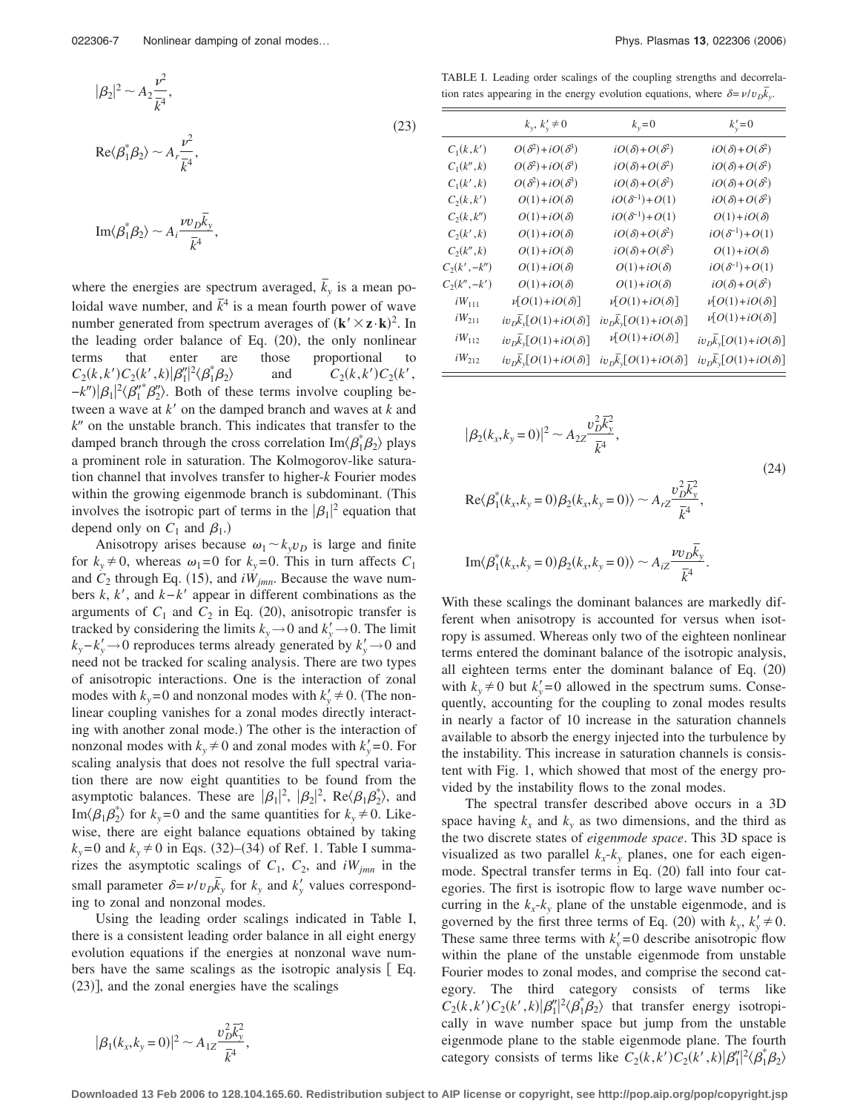$$
|\beta_2|^2 \sim A_2 \frac{\nu^2}{\overline{k}^4},\tag{23}
$$

$$
\text{Re}\langle\beta_1^*\beta_2\rangle\sim A_r\frac{\nu^2}{\bar{k}^4},
$$

$$
\mathrm{Im}\langle\beta_1^*\beta_2\rangle\sim A_i\frac{\nu v_D\overline{k}_y}{\overline{k}^4},
$$

where the energies are spectrum averaged,  $\overline{k}_y$  is a mean poloidal wave number, and  $\bar{k}^4$  is a mean fourth power of wave number generated from spectrum averages of  $(\mathbf{k}' \times \mathbf{z} \cdot \mathbf{k})^2$ . In the leading order balance of Eq. (20), the only nonlinear terms that enter are those proportional to  $C_2(k, k')C_2(k', k)|\beta''_1|^2\langle \beta^*_1\beta'_2\rangle$  $C_2(k, k')C_2(k', k')$  $-k''$ ) $|\beta_1|^2 \langle \beta_1''^* \beta_2'' \rangle$ . Both of these terms involve coupling between a wave at *k'* on the damped branch and waves at *k* and *k*- on the unstable branch. This indicates that transfer to the damped branch through the cross correlation  $\text{Im}\langle\beta_1^*\beta_2\rangle$  plays a prominent role in saturation. The Kolmogorov-like saturation channel that involves transfer to higher-*k* Fourier modes within the growing eigenmode branch is subdominant. (This involves the isotropic part of terms in the  $|\beta_1|^2$  equation that depend only on  $C_1$  and  $\beta_1$ .)

Anisotropy arises because  $\omega_1 \sim k_v v_D$  is large and finite for  $k_y \neq 0$ , whereas  $\omega_1 = 0$  for  $k_y = 0$ . This in turn affects  $C_1$ and  $C_2$  through Eq. (15), and  $iW_{jmn}$ . Because the wave numbers *k*, *k*, and *k*−*k* appear in different combinations as the arguments of  $C_1$  and  $C_2$  in Eq. (20), anisotropic transfer is tracked by considering the limits  $k_y \rightarrow 0$  and  $k'_y \rightarrow 0$ . The limit  $k_y - k'_y \rightarrow 0$  reproduces terms already generated by  $k'_y \rightarrow 0$  and need not be tracked for scaling analysis. There are two types of anisotropic interactions. One is the interaction of zonal modes with  $k_y = 0$  and nonzonal modes with  $k'_y \neq 0$ . (The nonlinear coupling vanishes for a zonal modes directly interacting with another zonal mode.) The other is the interaction of nonzonal modes with  $k_y \neq 0$  and zonal modes with  $k'_y = 0$ . For scaling analysis that does not resolve the full spectral variation there are now eight quantities to be found from the asymptotic balances. These are  $|\beta_1|^2$ ,  $|\beta_2|^2$ , Re $\langle \beta_1 \beta_2^* \rangle$ , and Im $\langle \beta_1 \beta_2^* \rangle$  for  $k_y = 0$  and the same quantities for  $k_y \neq 0$ . Likewise, there are eight balance equations obtained by taking  $k_y = 0$  and  $k_y \neq 0$  in Eqs. (32)–(34) of Ref. 1. Table I summarizes the asymptotic scalings of  $C_1$ ,  $C_2$ , and  $iW_{jmn}$  in the small parameter  $\delta = \nu / v_D \bar{k}_y$  for  $k_y$  and  $k'_y$  values corresponding to zonal and nonzonal modes.

Using the leading order scalings indicated in Table I, there is a consistent leading order balance in all eight energy evolution equations if the energies at nonzonal wave numbers have the same scalings as the isotropic analysis [Eq. (23)], and the zonal energies have the scalings

$$
|\beta_1(k_x, k_y = 0)|^2 \sim A_{1Z} \frac{\nu_D^2 \overline{k}_y^2}{\overline{k}^4},
$$

TABLE I. Leading order scalings of the coupling strengths and decorrelation rates appearing in the energy evolution equations, where  $\delta = \nu / v_D \overline{k_y}$ .

|                 | $k_y, k'_y \neq 0$                    | $k_y=0$                               | $k_{v}' = 0$                          |
|-----------------|---------------------------------------|---------------------------------------|---------------------------------------|
| $C_1(k, k')$    | $O(\delta^2)+iO(\delta^3)$            | $iO(\delta) + O(\delta^2)$            | $iO(\delta) + O(\delta^2)$            |
| $C_1(k'',k)$    | $O(\delta^2)+iO(\delta^3)$            | $iO(\delta) + O(\delta^2)$            | $iO(\delta) + O(\delta^2)$            |
| $C_1(k',k)$     | $O(\delta^2)+iO(\delta^3)$            | $iO(\delta) + O(\delta^2)$            | $iO(\delta) + O(\delta^2)$            |
| $C_2(k, k')$    | $O(1) + iO(\delta)$                   | $iO(\delta^{-1})+O(1)$                | $iO(\delta) + O(\delta^2)$            |
| $C_2(k, k'')$   | $O(1)+iO(\delta)$                     | $iO(\delta^{-1})+O(1)$                | $O(1)+iO(\delta)$                     |
| $C_2(k',k)$     | $O(1) + iO(\delta)$                   | $iO(\delta) + O(\delta^2)$            | $iO(\delta^{-1})+O(1)$                |
| $C_2(k'',k)$    | $O(1) + iO(\delta)$                   | $iO(\delta) + O(\delta^2)$            | $O(1)+iO(\delta)$                     |
| $C_2(k', -k'')$ | $O(1) + iO(\delta)$                   | $O(1)+iO(\delta)$                     | $iO(\delta^{-1})+O(1)$                |
| $C_2(k'',-k')$  | $O(1)+iO(\delta)$                     | $O(1) + iO(\delta)$                   | $iO(\delta) + O(\delta^2)$            |
| $iW_{111}$      | $\nu[O(1)+iO(\delta)]$                | $\nu[O(1)+iO(\delta)]$                | $\nu[O(1)+iO(\delta)]$                |
| $iW_{211}$      | $iv_D\overline{k}_y[O(1)+iO(\delta)]$ | $iv_D\overline{k}_y[O(1)+iO(\delta)]$ | $\nu[O(1)+iO(\delta)]$                |
| $iW_{112}$      | $iv_{D}k_{y}[O(1)+iO(\delta)]$        | $\nu[O(1)+iO(\delta)]$                | $iv_D\overline{k}_y[O(1)+iO(\delta)]$ |
| $iW_{212}$      | $iv_D\overline{k}_y[O(1)+iO(\delta)]$ | $iv_D\overline{k}_y[O(1)+iO(\delta)]$ | $iv_D\overline{k}_y[O(1)+iO(\delta)]$ |

$$
|\beta_2(k_x, k_y = 0)|^2 \sim A_{2Z} \frac{v_D^2 \overline{k}_y^2}{\overline{k}^4},
$$
  
\n
$$
Re\langle \beta_1^*(k_x, k_y = 0) \beta_2(k_x, k_y = 0) \rangle \sim A_{rZ} \frac{v_D^2 \overline{k}_y^2}{\overline{k}^4},
$$
  
\n
$$
Im\langle \beta_1^*(k_x, k_y = 0) \beta_2(k_x, k_y = 0) \rangle \sim A_{iZ} \frac{\nu v_D \overline{k}_y}{\overline{k}^4}.
$$
 (24)

With these scalings the dominant balances are markedly different when anisotropy is accounted for versus when isotropy is assumed. Whereas only two of the eighteen nonlinear terms entered the dominant balance of the isotropic analysis, all eighteen terms enter the dominant balance of Eq. (20) with  $k_y \neq 0$  but  $k'_y = 0$  allowed in the spectrum sums. Consequently, accounting for the coupling to zonal modes results in nearly a factor of 10 increase in the saturation channels available to absorb the energy injected into the turbulence by the instability. This increase in saturation channels is consistent with Fig. 1, which showed that most of the energy provided by the instability flows to the zonal modes.

The spectral transfer described above occurs in a 3D space having  $k_x$  and  $k_y$  as two dimensions, and the third as the two discrete states of *eigenmode space*. This 3D space is visualized as two parallel  $k_x-k_y$  planes, one for each eigenmode. Spectral transfer terms in Eq. (20) fall into four categories. The first is isotropic flow to large wave number occurring in the  $k_x - k_y$  plane of the unstable eigenmode, and is governed by the first three terms of Eq. (20) with  $k_y$ ,  $k'_y \neq 0$ . These same three terms with  $k'_y = 0$  describe anisotropic flow within the plane of the unstable eigenmode from unstable Fourier modes to zonal modes, and comprise the second category. The third category consists of terms like  $C_2(k, k')C_2(k', k)|\beta_1''|^2\langle\beta_1^*\beta_2\rangle$  that transfer energy isotropically in wave number space but jump from the unstable eigenmode plane to the stable eigenmode plane. The fourth category consists of terms like  $C_2(k, k')C_2(k', k)|\beta_1''|^2 \langle \beta_1^* \beta_2 \rangle$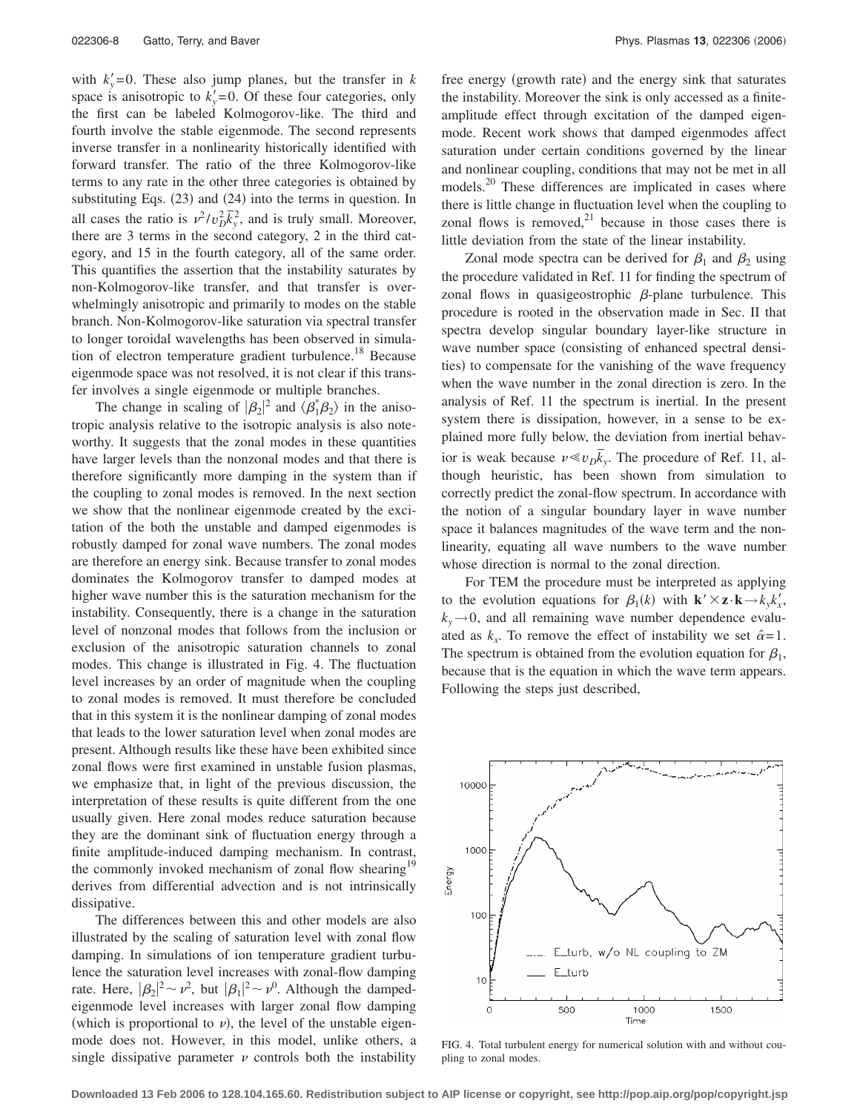with  $k'_y = 0$ . These also jump planes, but the transfer in *k* space is anisotropic to  $k'_y = 0$ . Of these four categories, only the first can be labeled Kolmogorov-like. The third and fourth involve the stable eigenmode. The second represents inverse transfer in a nonlinearity historically identified with forward transfer. The ratio of the three Kolmogorov-like terms to any rate in the other three categories is obtained by substituting Eqs.  $(23)$  and  $(24)$  into the terms in question. In all cases the ratio is  $v^2/v_D^2\bar{k}_y^2$ , and is truly small. Moreover, there are 3 terms in the second category, 2 in the third category, and 15 in the fourth category, all of the same order. This quantifies the assertion that the instability saturates by non-Kolmogorov-like transfer, and that transfer is overwhelmingly anisotropic and primarily to modes on the stable branch. Non-Kolmogorov-like saturation via spectral transfer to longer toroidal wavelengths has been observed in simulation of electron temperature gradient turbulence.<sup>18</sup> Because eigenmode space was not resolved, it is not clear if this transfer involves a single eigenmode or multiple branches.

The change in scaling of  $|\beta_2|^2$  and  $\langle \beta_1^* \beta_2 \rangle$  in the anisotropic analysis relative to the isotropic analysis is also noteworthy. It suggests that the zonal modes in these quantities have larger levels than the nonzonal modes and that there is therefore significantly more damping in the system than if the coupling to zonal modes is removed. In the next section we show that the nonlinear eigenmode created by the excitation of the both the unstable and damped eigenmodes is robustly damped for zonal wave numbers. The zonal modes are therefore an energy sink. Because transfer to zonal modes dominates the Kolmogorov transfer to damped modes at higher wave number this is the saturation mechanism for the instability. Consequently, there is a change in the saturation level of nonzonal modes that follows from the inclusion or exclusion of the anisotropic saturation channels to zonal modes. This change is illustrated in Fig. 4. The fluctuation level increases by an order of magnitude when the coupling to zonal modes is removed. It must therefore be concluded that in this system it is the nonlinear damping of zonal modes that leads to the lower saturation level when zonal modes are present. Although results like these have been exhibited since zonal flows were first examined in unstable fusion plasmas, we emphasize that, in light of the previous discussion, the interpretation of these results is quite different from the one usually given. Here zonal modes reduce saturation because they are the dominant sink of fluctuation energy through a finite amplitude-induced damping mechanism. In contrast, the commonly invoked mechanism of zonal flow shearing<sup>19</sup> derives from differential advection and is not intrinsically dissipative.

The differences between this and other models are also illustrated by the scaling of saturation level with zonal flow damping. In simulations of ion temperature gradient turbulence the saturation level increases with zonal-flow damping rate. Here,  $|\beta_2|^2 \sim \nu^2$ , but  $|\beta_1|^2 \sim \nu^0$ . Although the dampedeigenmode level increases with larger zonal flow damping (which is proportional to  $\nu$ ), the level of the unstable eigenmode does not. However, in this model, unlike others, a single dissipative parameter  $\nu$  controls both the instability

free energy (growth rate) and the energy sink that saturates the instability. Moreover the sink is only accessed as a finiteamplitude effect through excitation of the damped eigenmode. Recent work shows that damped eigenmodes affect saturation under certain conditions governed by the linear and nonlinear coupling, conditions that may not be met in all models.<sup>20</sup> These differences are implicated in cases where there is little change in fluctuation level when the coupling to zonal flows is removed, $21$  because in those cases there is little deviation from the state of the linear instability.

Zonal mode spectra can be derived for  $\beta_1$  and  $\beta_2$  using the procedure validated in Ref. 11 for finding the spectrum of zonal flows in quasigeostrophic  $\beta$ -plane turbulence. This procedure is rooted in the observation made in Sec. II that spectra develop singular boundary layer-like structure in wave number space (consisting of enhanced spectral densities) to compensate for the vanishing of the wave frequency when the wave number in the zonal direction is zero. In the analysis of Ref. 11 the spectrum is inertial. In the present system there is dissipation, however, in a sense to be explained more fully below, the deviation from inertial behavior is weak because  $\nu \ll \nu_D \overline{k}_y$ . The procedure of Ref. 11, although heuristic, has been shown from simulation to correctly predict the zonal-flow spectrum. In accordance with the notion of a singular boundary layer in wave number space it balances magnitudes of the wave term and the nonlinearity, equating all wave numbers to the wave number whose direction is normal to the zonal direction.

For TEM the procedure must be interpreted as applying to the evolution equations for  $\beta_1(k)$  with  $\mathbf{k}' \times \mathbf{z} \cdot \mathbf{k} \rightarrow k_y k_x'$ ,  $k_y \rightarrow 0$ , and all remaining wave number dependence evaluated as  $k_x$ . To remove the effect of instability we set  $\hat{\alpha} = 1$ . The spectrum is obtained from the evolution equation for  $\beta_1$ , because that is the equation in which the wave term appears. Following the steps just described,



FIG. 4. Total turbulent energy for numerical solution with and without coupling to zonal modes.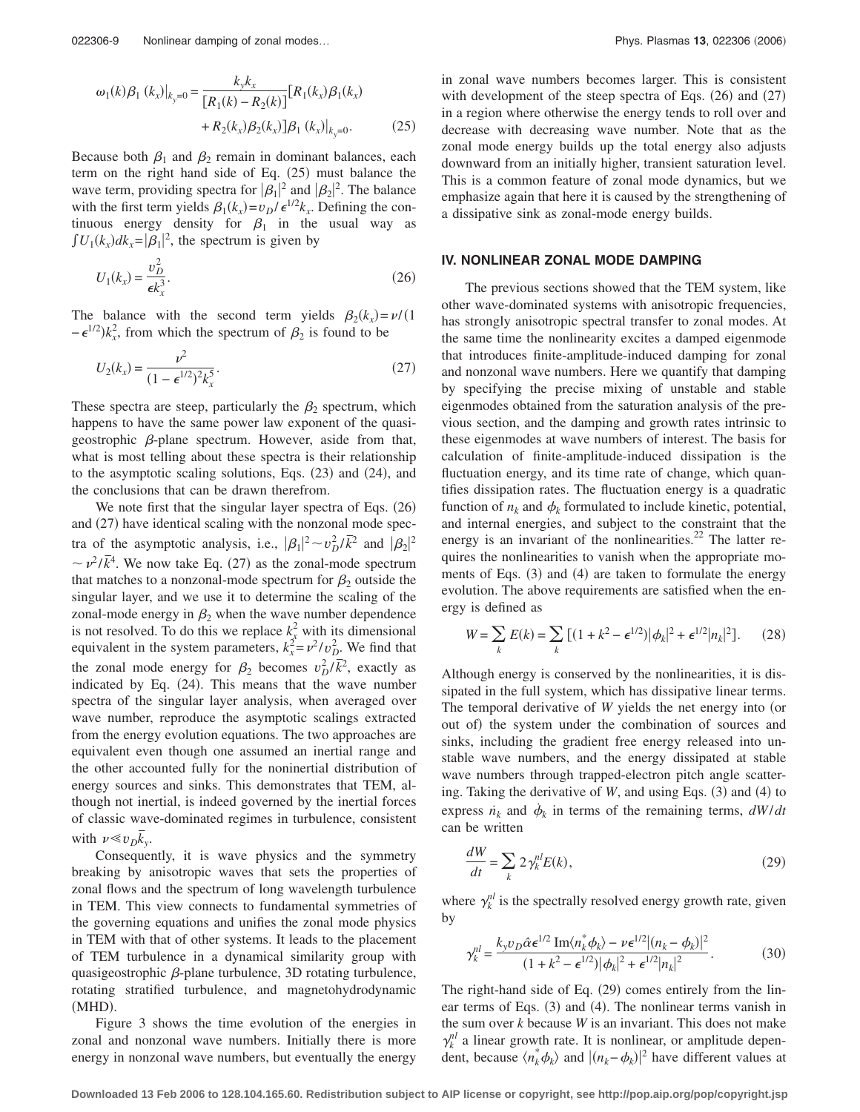$$
\omega_1(k)\beta_1(k_x)|_{k_y=0} = \frac{k_yk_x}{[R_1(k) - R_2(k)]}[R_1(k_x)\beta_1(k_x) + R_2(k_x)\beta_2(k_x)]\beta_1(k_x)|_{k_y=0}.
$$
\n(25)

Because both  $\beta_1$  and  $\beta_2$  remain in dominant balances, each term on the right hand side of Eq.  $(25)$  must balance the wave term, providing spectra for  $|\beta_1|^2$  and  $|\beta_2|^2$ . The balance with the first term yields  $\beta_1(k_x) = v_D / \epsilon^{1/2} k_x$ . Defining the continuous energy density for  $\beta_1$  in the usual way as  $\int U_1(k_x)dk_x = |\beta_1|^2$ , the spectrum is given by

$$
U_1(k_x) = \frac{v_D^2}{\epsilon k_x^3}.\tag{26}
$$

The balance with the second term yields  $\beta_2(k_x) = \nu/(1$  $-\epsilon^{1/2}$ ) $k_x^2$ , from which the spectrum of  $\beta_2$  is found to be

$$
U_2(k_x) = \frac{\nu^2}{(1 - \epsilon^{1/2})^2 k_x^5}.
$$
 (27)

These spectra are steep, particularly the  $\beta_2$  spectrum, which happens to have the same power law exponent of the quasigeostrophic  $\beta$ -plane spectrum. However, aside from that, what is most telling about these spectra is their relationship to the asymptotic scaling solutions, Eqs. (23) and (24), and the conclusions that can be drawn therefrom.

We note first that the singular layer spectra of Eqs. (26) and (27) have identical scaling with the nonzonal mode spectra of the asymptotic analysis, i.e.,  $|\beta_1|^2 \sim v_D^2/\bar{k}^2$  and  $|\beta_2|^2$  $\sim \nu^2/\bar{k}^4$ . We now take Eq. (27) as the zonal-mode spectrum that matches to a nonzonal-mode spectrum for  $\beta_2$  outside the singular layer, and we use it to determine the scaling of the zonal-mode energy in  $\beta_2$  when the wave number dependence is not resolved. To do this we replace  $k_x^2$  with its dimensional equivalent in the system parameters,  $k_x^2 = v^2/v_D^2$ . We find that the zonal mode energy for  $\beta_2$  becomes  $v_D^2/\overline{k^2}$ , exactly as indicated by Eq. (24). This means that the wave number spectra of the singular layer analysis, when averaged over wave number, reproduce the asymptotic scalings extracted from the energy evolution equations. The two approaches are equivalent even though one assumed an inertial range and the other accounted fully for the noninertial distribution of energy sources and sinks. This demonstrates that TEM, although not inertial, is indeed governed by the inertial forces of classic wave-dominated regimes in turbulence, consistent with  $\nu \ll v_D \overline{k}_y$ .

Consequently, it is wave physics and the symmetry breaking by anisotropic waves that sets the properties of zonal flows and the spectrum of long wavelength turbulence in TEM. This view connects to fundamental symmetries of the governing equations and unifies the zonal mode physics in TEM with that of other systems. It leads to the placement of TEM turbulence in a dynamical similarity group with quasigeostrophic  $\beta$ -plane turbulence, 3D rotating turbulence, rotating stratified turbulence, and magnetohydrodynamic (MHD).

Figure 3 shows the time evolution of the energies in zonal and nonzonal wave numbers. Initially there is more energy in nonzonal wave numbers, but eventually the energy in zonal wave numbers becomes larger. This is consistent with development of the steep spectra of Eqs.  $(26)$  and  $(27)$ in a region where otherwise the energy tends to roll over and decrease with decreasing wave number. Note that as the zonal mode energy builds up the total energy also adjusts downward from an initially higher, transient saturation level. This is a common feature of zonal mode dynamics, but we emphasize again that here it is caused by the strengthening of a dissipative sink as zonal-mode energy builds.

#### **IV. NONLINEAR ZONAL MODE DAMPING**

The previous sections showed that the TEM system, like other wave-dominated systems with anisotropic frequencies, has strongly anisotropic spectral transfer to zonal modes. At the same time the nonlinearity excites a damped eigenmode that introduces finite-amplitude-induced damping for zonal and nonzonal wave numbers. Here we quantify that damping by specifying the precise mixing of unstable and stable eigenmodes obtained from the saturation analysis of the previous section, and the damping and growth rates intrinsic to these eigenmodes at wave numbers of interest. The basis for calculation of finite-amplitude-induced dissipation is the fluctuation energy, and its time rate of change, which quantifies dissipation rates. The fluctuation energy is a quadratic function of  $n_k$  and  $\phi_k$  formulated to include kinetic, potential, and internal energies, and subject to the constraint that the energy is an invariant of the nonlinearities. $^{22}$  The latter requires the nonlinearities to vanish when the appropriate moments of Eqs. (3) and (4) are taken to formulate the energy evolution. The above requirements are satisfied when the energy is defined as

$$
W = \sum_{k} E(k) = \sum_{k} \left[ (1 + k^2 - \epsilon^{1/2}) |\phi_k|^2 + \epsilon^{1/2} |n_k|^2 \right].
$$
 (28)

Although energy is conserved by the nonlinearities, it is dissipated in the full system, which has dissipative linear terms. The temporal derivative of *W* yields the net energy into (or out of) the system under the combination of sources and sinks, including the gradient free energy released into unstable wave numbers, and the energy dissipated at stable wave numbers through trapped-electron pitch angle scattering. Taking the derivative of  $W$ , and using Eqs.  $(3)$  and  $(4)$  to express  $\dot{n}_k$  and  $\dot{\phi}_k$  in terms of the remaining terms,  $dW/dt$ can be written

$$
\frac{dW}{dt} = \sum_{k} 2\gamma_k^{nl} E(k),\tag{29}
$$

where  $\gamma_k^{nl}$  is the spectrally resolved energy growth rate, given by

$$
\gamma_k^{nl} = \frac{k_y v_D \hat{\alpha} \epsilon^{1/2} \operatorname{Im} \langle n_k^* \phi_k \rangle - \nu \epsilon^{1/2} |(n_k - \phi_k)|^2}{(1 + k^2 - \epsilon^{1/2}) |\phi_k|^2 + \epsilon^{1/2} |n_k|^2}.
$$
(30)

The right-hand side of Eq. (29) comes entirely from the linear terms of Eqs. (3) and (4). The nonlinear terms vanish in the sum over *k* because *W* is an invariant. This does not make  $\gamma_k^{nl}$  a linear growth rate. It is nonlinear, or amplitude dependent, because  $\langle n_k^* \phi_k \rangle$  and  $| (n_k - \phi_k) |^2$  have different values at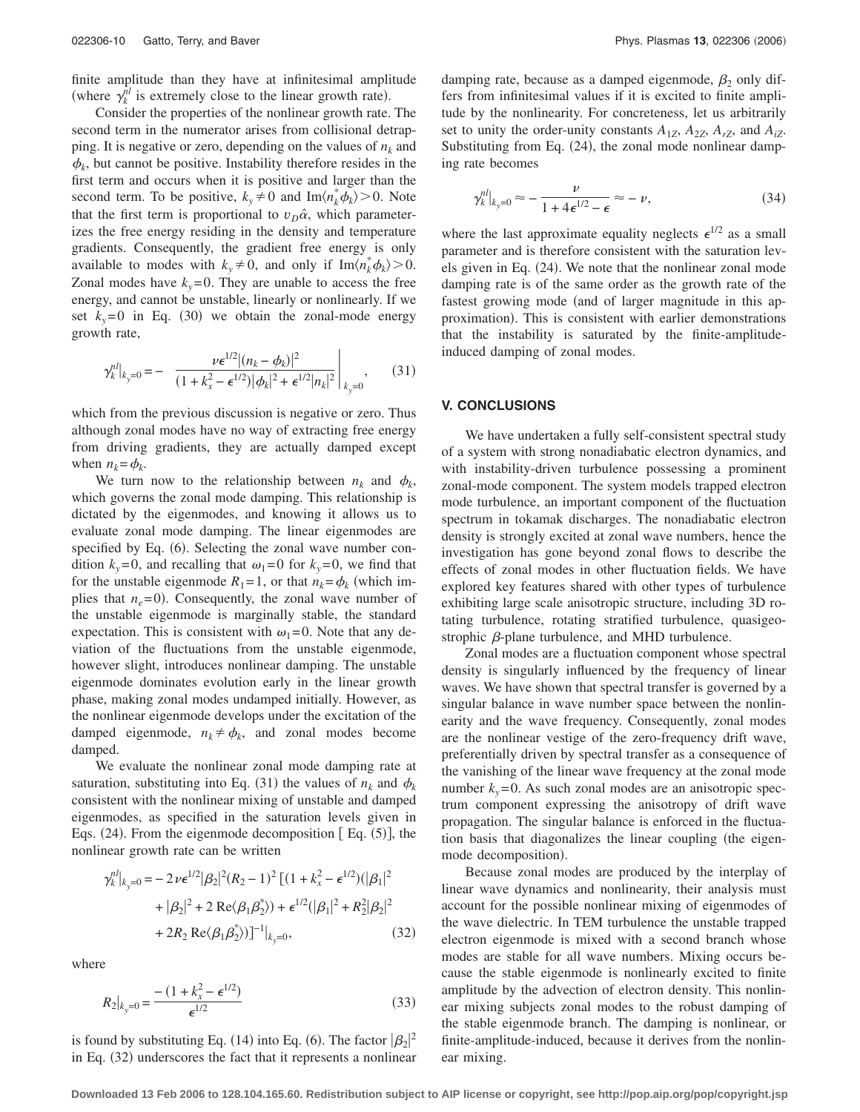finite amplitude than they have at infinitesimal amplitude (where  $\gamma_k^{nl}$  is extremely close to the linear growth rate).

Consider the properties of the nonlinear growth rate. The second term in the numerator arises from collisional detrapping. It is negative or zero, depending on the values of  $n_k$  and  $\phi_k$ , but cannot be positive. Instability therefore resides in the first term and occurs when it is positive and larger than the second term. To be positive,  $k_y \neq 0$  and  $\text{Im}\langle n_k^* \phi_k \rangle > 0$ . Note that the first term is proportional to  $v_D \hat{\alpha}$ , which parameterizes the free energy residing in the density and temperature gradients. Consequently, the gradient free energy is only available to modes with  $k_y \neq 0$ , and only if  $\text{Im}\langle n_k^* \phi_k \rangle > 0$ . Zonal modes have  $k_y = 0$ . They are unable to access the free energy, and cannot be unstable, linearly or nonlinearly. If we set  $k_y = 0$  in Eq. (30) we obtain the zonal-mode energy growth rate,

$$
\gamma_k^{nl}|_{k_y=0} = - \frac{\nu \epsilon^{1/2} |(n_k - \phi_k)|^2}{(1 + k_x^2 - \epsilon^{1/2}) |\phi_k|^2 + \epsilon^{1/2} |n_k|^2} \bigg|_{k_y=0}, \qquad (31)
$$

which from the previous discussion is negative or zero. Thus although zonal modes have no way of extracting free energy from driving gradients, they are actually damped except when  $n_k = \phi_k$ .

We turn now to the relationship between  $n_k$  and  $\phi_k$ , which governs the zonal mode damping. This relationship is dictated by the eigenmodes, and knowing it allows us to evaluate zonal mode damping. The linear eigenmodes are specified by Eq. (6). Selecting the zonal wave number condition  $k_y = 0$ , and recalling that  $\omega_1 = 0$  for  $k_y = 0$ , we find that for the unstable eigenmode  $R_1 = 1$ , or that  $n_k = \phi_k$  (which implies that  $n_e$ =0). Consequently, the zonal wave number of the unstable eigenmode is marginally stable, the standard expectation. This is consistent with  $\omega_1 = 0$ . Note that any deviation of the fluctuations from the unstable eigenmode, however slight, introduces nonlinear damping. The unstable eigenmode dominates evolution early in the linear growth phase, making zonal modes undamped initially. However, as the nonlinear eigenmode develops under the excitation of the damped eigenmode,  $n_k \neq \phi_k$ , and zonal modes become damped.

We evaluate the nonlinear zonal mode damping rate at saturation, substituting into Eq. (31) the values of  $n_k$  and  $\phi_k$ consistent with the nonlinear mixing of unstable and damped eigenmodes, as specified in the saturation levels given in Eqs.  $(24)$ . From the eigenmode decomposition  $[Eq. (5)]$ , the nonlinear growth rate can be written

 $1/2-1$ 

 $\overline{2}$ 

$$
\gamma_k^{nl}|_{k_y=0} = -2\nu\epsilon^{1/2}|\beta_2|^2 (R_2 - 1)^2 \left[ (1 + k_x^2 - \epsilon^{1/2}) (|\beta_1|^2 + |\beta_2|^2 + 2 \text{ Re}\langle \beta_1 \beta_2^* \rangle) + \epsilon^{1/2} (|\beta_1|^2 + R_2^2 |\beta_2|^2 + 2R_2 \text{ Re}\langle \beta_1 \beta_2^* \rangle) \right]^{-1}|_{k_y=0},
$$
\n(32)

where

$$
R_2|_{k_y=0} = \frac{-\left(1 + k_x^2 - \epsilon^{1/2}\right)}{\epsilon^{1/2}}
$$
\n(33)

is found by substituting Eq. (14) into Eq. (6). The factor  $|\beta_2|^2$ in Eq. (32) underscores the fact that it represents a nonlinear

damping rate, because as a damped eigenmode,  $\beta_2$  only differs from infinitesimal values if it is excited to finite amplitude by the nonlinearity. For concreteness, let us arbitrarily set to unity the order-unity constants  $A_{1Z}$ ,  $A_{2Z}$ ,  $A_{rZ}$ , and  $A_{iZ}$ . Substituting from Eq. (24), the zonal mode nonlinear damping rate becomes

$$
\gamma_k^{nl}|_{k_y=0} \approx -\frac{\nu}{1+4\epsilon^{1/2}-\epsilon} \approx -\nu,\tag{34}
$$

where the last approximate equality neglects  $\epsilon^{1/2}$  as a small parameter and is therefore consistent with the saturation levels given in Eq. (24). We note that the nonlinear zonal mode damping rate is of the same order as the growth rate of the fastest growing mode (and of larger magnitude in this approximation). This is consistent with earlier demonstrations that the instability is saturated by the finite-amplitudeinduced damping of zonal modes.

## **V. CONCLUSIONS**

We have undertaken a fully self-consistent spectral study of a system with strong nonadiabatic electron dynamics, and with instability-driven turbulence possessing a prominent zonal-mode component. The system models trapped electron mode turbulence, an important component of the fluctuation spectrum in tokamak discharges. The nonadiabatic electron density is strongly excited at zonal wave numbers, hence the investigation has gone beyond zonal flows to describe the effects of zonal modes in other fluctuation fields. We have explored key features shared with other types of turbulence exhibiting large scale anisotropic structure, including 3D rotating turbulence, rotating stratified turbulence, quasigeostrophic  $\beta$ -plane turbulence, and MHD turbulence.

Zonal modes are a fluctuation component whose spectral density is singularly influenced by the frequency of linear waves. We have shown that spectral transfer is governed by a singular balance in wave number space between the nonlinearity and the wave frequency. Consequently, zonal modes are the nonlinear vestige of the zero-frequency drift wave, preferentially driven by spectral transfer as a consequence of the vanishing of the linear wave frequency at the zonal mode number  $k_y = 0$ . As such zonal modes are an anisotropic spectrum component expressing the anisotropy of drift wave propagation. The singular balance is enforced in the fluctuation basis that diagonalizes the linear coupling (the eigenmode decomposition).

Because zonal modes are produced by the interplay of linear wave dynamics and nonlinearity, their analysis must account for the possible nonlinear mixing of eigenmodes of the wave dielectric. In TEM turbulence the unstable trapped electron eigenmode is mixed with a second branch whose modes are stable for all wave numbers. Mixing occurs because the stable eigenmode is nonlinearly excited to finite amplitude by the advection of electron density. This nonlinear mixing subjects zonal modes to the robust damping of the stable eigenmode branch. The damping is nonlinear, or finite-amplitude-induced, because it derives from the nonlinear mixing.

**Downloaded 13 Feb 2006 to 128.104.165.60. Redistribution subject to AIP license or copyright, see http://pop.aip.org/pop/copyright.jsp**